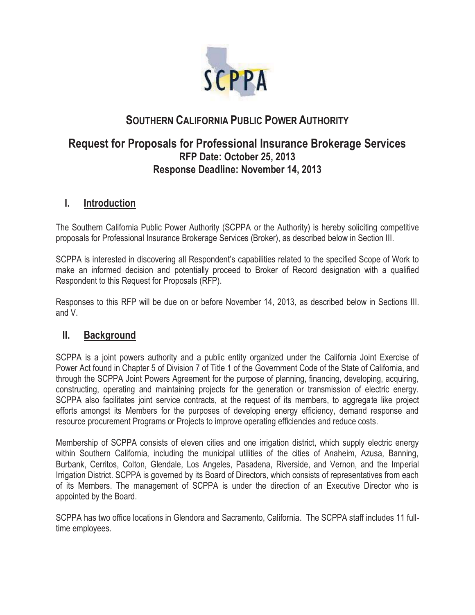

# **SOUTHERN CALIFORNIA PUBLIC POWER AUTHORITY**

## **Request for Proposals for Professional Insurance Brokerage Services RFP Date: October 25, 2013 Response Deadline: November 14, 2013**

#### **I. Introduction**

The Southern California Public Power Authority (SCPPA or the Authority) is hereby soliciting competitive proposals for Professional Insurance Brokerage Services (Broker), as described below in Section III.

SCPPA is interested in discovering all Respondent's capabilities related to the specified Scope of Work to make an informed decision and potentially proceed to Broker of Record designation with a qualified Respondent to this Request for Proposals (RFP).

Responses to this RFP will be due on or before November 14, 2013, as described below in Sections III. and V.

## **II. Background**

SCPPA is a joint powers authority and a public entity organized under the California Joint Exercise of Power Act found in Chapter 5 of Division 7 of Title 1 of the Government Code of the State of California, and through the SCPPA Joint Powers Agreement for the purpose of planning, financing, developing, acquiring, constructing, operating and maintaining projects for the generation or transmission of electric energy. SCPPA also facilitates joint service contracts, at the request of its members, to aggregate like project efforts amongst its Members for the purposes of developing energy efficiency, demand response and resource procurement Programs or Projects to improve operating efficiencies and reduce costs.

Membership of SCPPA consists of eleven cities and one irrigation district, which supply electric energy within Southern California, including the municipal utilities of the cities of Anaheim, Azusa, Banning, Burbank, Cerritos, Colton, Glendale, Los Angeles, Pasadena, Riverside, and Vernon, and the Imperial Irrigation District. SCPPA is governed by its Board of Directors, which consists of representatives from each of its Members. The management of SCPPA is under the direction of an Executive Director who is appointed by the Board.

SCPPA has two office locations in Glendora and Sacramento, California. The SCPPA staff includes 11 fulltime employees.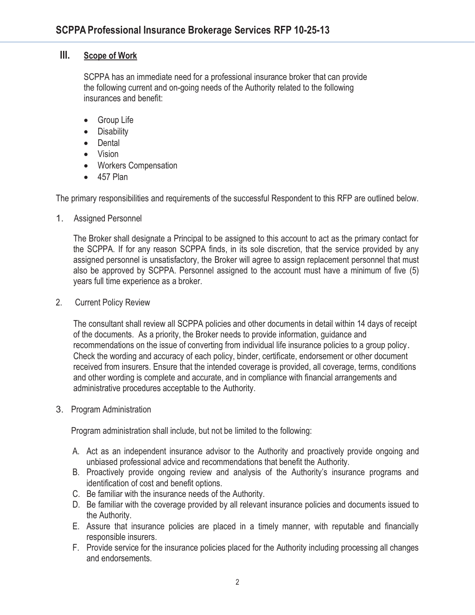#### **III. Scope of Work**

SCPPA has an immediate need for a professional insurance broker that can provide the following current and on-going needs of the Authority related to the following insurances and benefit:

- Group Life
- Disability
- Dental
- Vision
- Workers Compensation
- 457 Plan

The primary responsibilities and requirements of the successful Respondent to this RFP are outlined below.

1. Assigned Personnel

The Broker shall designate a Principal to be assigned to this account to act as the primary contact for the SCPPA. If for any reason SCPPA finds, in its sole discretion, that the service provided by any assigned personnel is unsatisfactory, the Broker will agree to assign replacement personnel that must also be approved by SCPPA. Personnel assigned to the account must have a minimum of five (5) years full time experience as a broker.

2. Current Policy Review

The consultant shall review all SCPPA policies and other documents in detail within 14 days of receipt of the documents. As a priority, the Broker needs to provide information, guidance and recommendations on the issue of converting from individual life insurance policies to a group policy. Check the wording and accuracy of each policy, binder, certificate, endorsement or other document received from insurers. Ensure that the intended coverage is provided, all coverage, terms, conditions and other wording is complete and accurate, and in compliance with financial arrangements and administrative procedures acceptable to the Authority.

3. Program Administration

Program administration shall include, but not be limited to the following:

- A. Act as an independent insurance advisor to the Authority and proactively provide ongoing and unbiased professional advice and recommendations that benefit the Authority.
- B. Proactively provide ongoing review and analysis of the Authority's insurance programs and identification of cost and benefit options.
- C. Be familiar with the insurance needs of the Authority.
- D. Be familiar with the coverage provided by all relevant insurance policies and documents issued to the Authority.
- E. Assure that insurance policies are placed in a timely manner, with reputable and financially responsible insurers.
- F. Provide service for the insurance policies placed for the Authority including processing all changes and endorsements.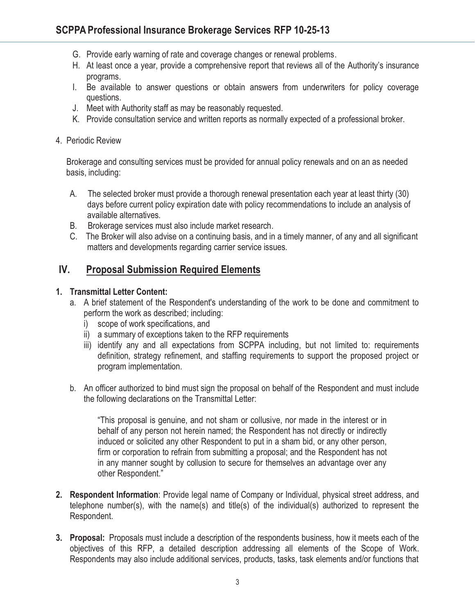- G. Provide early warning of rate and coverage changes or renewal problems.
- H. At least once a year, provide a comprehensive report that reviews all of the Authority's insurance programs.
- I. Be available to answer questions or obtain answers from underwriters for policy coverage questions.
- J. Meet with Authority staff as may be reasonably requested.
- K. Provide consultation service and written reports as normally expected of a professional broker.
- 4. Periodic Review

 Brokerage and consulting services must be provided for annual policy renewals and on an as needed basis, including:

- A. The selected broker must provide a thorough renewal presentation each year at least thirty (30) days before current policy expiration date with policy recommendations to include an analysis of available alternatives.
- B. Brokerage services must also include market research.
- C. The Broker will also advise on a continuing basis, and in a timely manner, of any and all significant matters and developments regarding carrier service issues.

## **IV. Proposal Submission Required Elements**

#### **1. Transmittal Letter Content:**

- a. A brief statement of the Respondent's understanding of the work to be done and commitment to perform the work as described; including:
	- i) scope of work specifications, and
	- ii) a summary of exceptions taken to the RFP requirements
	- iii) identify any and all expectations from SCPPA including, but not limited to: requirements definition, strategy refinement, and staffing requirements to support the proposed project or program implementation.
- b. An officer authorized to bind must sign the proposal on behalf of the Respondent and must include the following declarations on the Transmittal Letter:

"This proposal is genuine, and not sham or collusive, nor made in the interest or in behalf of any person not herein named; the Respondent has not directly or indirectly induced or solicited any other Respondent to put in a sham bid, or any other person, firm or corporation to refrain from submitting a proposal; and the Respondent has not in any manner sought by collusion to secure for themselves an advantage over any other Respondent."

- **2. Respondent Information**: Provide legal name of Company or Individual, physical street address, and telephone number(s), with the name(s) and title(s) of the individual(s) authorized to represent the Respondent.
- **3. Proposal:** Proposals must include a description of the respondents business, how it meets each of the objectives of this RFP, a detailed description addressing all elements of the Scope of Work. Respondents may also include additional services, products, tasks, task elements and/or functions that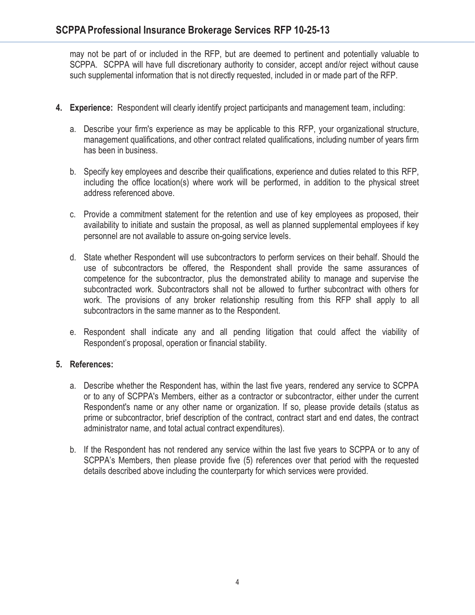may not be part of or included in the RFP, but are deemed to pertinent and potentially valuable to SCPPA. SCPPA will have full discretionary authority to consider, accept and/or reject without cause such supplemental information that is not directly requested, included in or made part of the RFP.

- **4. Experience:** Respondent will clearly identify project participants and management team, including:
	- a. Describe your firm's experience as may be applicable to this RFP, your organizational structure, management qualifications, and other contract related qualifications, including number of years firm has been in business.
	- b. Specify key employees and describe their qualifications, experience and duties related to this RFP, including the office location(s) where work will be performed, in addition to the physical street address referenced above.
	- c. Provide a commitment statement for the retention and use of key employees as proposed, their availability to initiate and sustain the proposal, as well as planned supplemental employees if key personnel are not available to assure on-going service levels.
	- d. State whether Respondent will use subcontractors to perform services on their behalf. Should the use of subcontractors be offered, the Respondent shall provide the same assurances of competence for the subcontractor, plus the demonstrated ability to manage and supervise the subcontracted work. Subcontractors shall not be allowed to further subcontract with others for work. The provisions of any broker relationship resulting from this RFP shall apply to all subcontractors in the same manner as to the Respondent.
	- e. Respondent shall indicate any and all pending litigation that could affect the viability of Respondent's proposal, operation or financial stability.

#### **5. References:**

- a. Describe whether the Respondent has, within the last five years, rendered any service to SCPPA or to any of SCPPA's Members, either as a contractor or subcontractor, either under the current Respondent's name or any other name or organization. If so, please provide details (status as prime or subcontractor, brief description of the contract, contract start and end dates, the contract administrator name, and total actual contract expenditures).
- b. If the Respondent has not rendered any service within the last five years to SCPPA or to any of SCPPA's Members, then please provide five (5) references over that period with the requested details described above including the counterparty for which services were provided.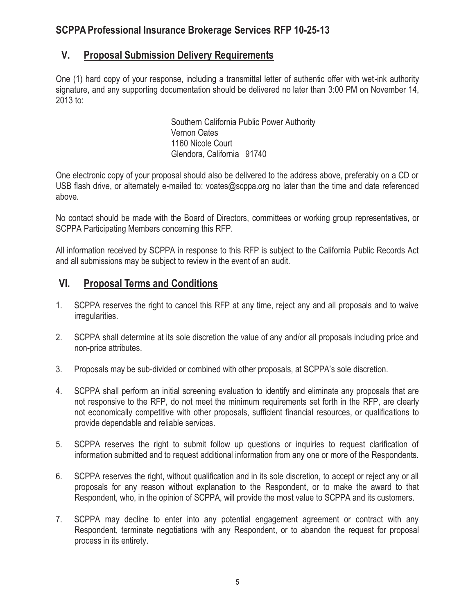## **V. Proposal Submission Delivery Requirements**

One (1) hard copy of your response, including a transmittal letter of authentic offer with wet-ink authority signature, and any supporting documentation should be delivered no later than 3:00 PM on November 14, 2013 to:

> Southern California Public Power Authority Vernon Oates 1160 Nicole Court Glendora, California 91740

One electronic copy of your proposal should also be delivered to the address above, preferably on a CD or USB flash drive, or alternately e-mailed to: voates@scppa.org no later than the time and date referenced above.

No contact should be made with the Board of Directors, committees or working group representatives, or SCPPA Participating Members concerning this RFP.

All information received by SCPPA in response to this RFP is subject to the California Public Records Act and all submissions may be subject to review in the event of an audit.

## **VI. Proposal Terms and Conditions**

- 1. SCPPA reserves the right to cancel this RFP at any time, reject any and all proposals and to waive irregularities.
- 2. SCPPA shall determine at its sole discretion the value of any and/or all proposals including price and non-price attributes.
- 3. Proposals may be sub-divided or combined with other proposals, at SCPPA's sole discretion.
- 4. SCPPA shall perform an initial screening evaluation to identify and eliminate any proposals that are not responsive to the RFP, do not meet the minimum requirements set forth in the RFP, are clearly not economically competitive with other proposals, sufficient financial resources, or qualifications to provide dependable and reliable services.
- 5. SCPPA reserves the right to submit follow up questions or inquiries to request clarification of information submitted and to request additional information from any one or more of the Respondents.
- 6. SCPPA reserves the right, without qualification and in its sole discretion, to accept or reject any or all proposals for any reason without explanation to the Respondent, or to make the award to that Respondent, who, in the opinion of SCPPA, will provide the most value to SCPPA and its customers.
- 7. SCPPA may decline to enter into any potential engagement agreement or contract with any Respondent, terminate negotiations with any Respondent, or to abandon the request for proposal process in its entirety.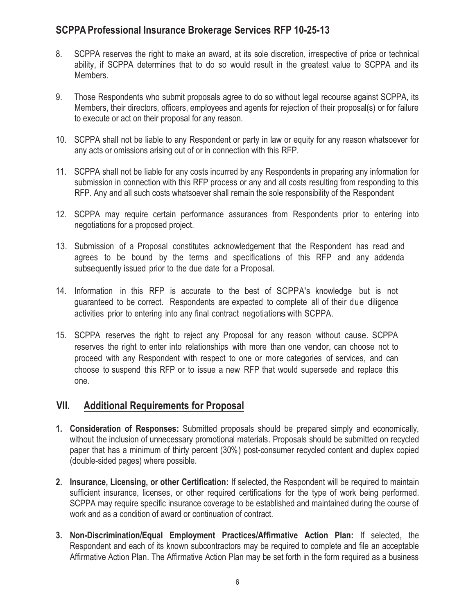- 8. SCPPA reserves the right to make an award, at its sole discretion, irrespective of price or technical ability, if SCPPA determines that to do so would result in the greatest value to SCPPA and its Members.
- 9. Those Respondents who submit proposals agree to do so without legal recourse against SCPPA, its Members, their directors, officers, employees and agents for rejection of their proposal(s) or for failure to execute or act on their proposal for any reason.
- 10. SCPPA shall not be liable to any Respondent or party in law or equity for any reason whatsoever for any acts or omissions arising out of or in connection with this RFP.
- 11. SCPPA shall not be liable for any costs incurred by any Respondents in preparing any information for submission in connection with this RFP process or any and all costs resulting from responding to this RFP. Any and all such costs whatsoever shall remain the sole responsibility of the Respondent
- 12. SCPPA may require certain performance assurances from Respondents prior to entering into negotiations for a proposed project.
- 13. Submission of a Proposal constitutes acknowledgement that the Respondent has read and agrees to be bound by the terms and specifications of this RFP and any addenda subsequently issued prior to the due date for a Proposal.
- 14. Information in this RFP is accurate to the best of SCPPA's knowledge but is not guaranteed to be correct. Respondents are expected to complete all of their due diligence activities prior to entering into any final contract negotiationswith SCPPA.
- 15. SCPPA reserves the right to reject any Proposal for any reason without cause. SCPPA reserves the right to enter into relationships with more than one vendor, can choose not to proceed with any Respondent with respect to one or more categories of services, and can choose to suspend this RFP or to issue a new RFP that would supersede and replace this one.

## **VII. Additional Requirements for Proposal**

- **1. Consideration of Responses:** Submitted proposals should be prepared simply and economically, without the inclusion of unnecessary promotional materials. Proposals should be submitted on recycled paper that has a minimum of thirty percent (30%) post-consumer recycled content and duplex copied (double-sided pages) where possible.
- **2. Insurance, Licensing, or other Certification:** If selected, the Respondent will be required to maintain sufficient insurance, licenses, or other required certifications for the type of work being performed. SCPPA may require specific insurance coverage to be established and maintained during the course of work and as a condition of award or continuation of contract.
- **3. Non-Discrimination/Equal Employment Practices/Affirmative Action Plan:** If selected, the Respondent and each of its known subcontractors may be required to complete and file an acceptable Affirmative Action Plan. The Affirmative Action Plan may be set forth in the form required as a business